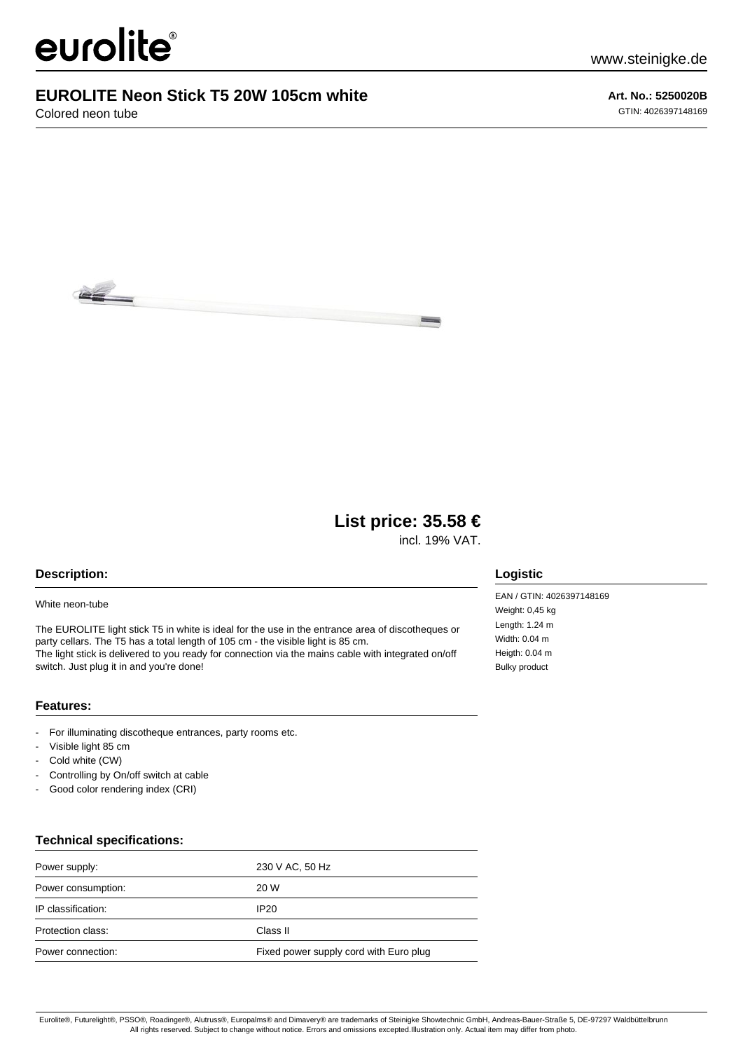# eurolite®

### **EUROLITE Neon Stick T5 20W 105cm white**

Colored neon tube

**Art. No.: 5250020B** GTIN: 4026397148169



## **List price: 35.58 €**

incl. 19% VAT.

#### **Description:**

#### White neon-tube

The EUROLITE light stick T5 in white is ideal for the use in the entrance area of discotheques or party cellars. The T5 has a total length of 105 cm - the visible light is 85 cm. The light stick is delivered to you ready for connection via the mains cable with integrated on/off switch. Just plug it in and you're done!

#### **Features:**

- For illuminating discotheque entrances, party rooms etc.
- Visible light 85 cm
- Cold white (CW)
- Controlling by On/off switch at cable
- Good color rendering index (CRI)

#### **Technical specifications:**

| Power supply:      | 230 V AC, 50 Hz                        |
|--------------------|----------------------------------------|
| Power consumption: | 20 W                                   |
| IP classification: | IP20                                   |
| Protection class:  | Class II                               |
| Power connection:  | Fixed power supply cord with Euro plug |

#### **Logistic**

EAN / GTIN: 4026397148169 Weight: 0,45 kg Length: 1.24 m Width: 0.04 m Heigth: 0.04 m Bulky product